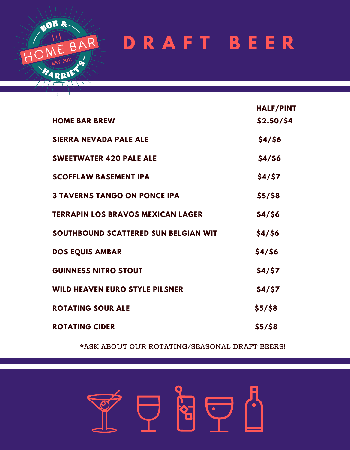

# **D R A F T B E E R**

|                                          | <b>HALF/PINT</b> |
|------------------------------------------|------------------|
| <b>HOME BAR BREW</b>                     | \$2.50/\$4       |
| <b>SIERRA NEVADA PALE ALE</b>            | \$4/\$6          |
| <b>SWEETWATER 420 PALE ALE</b>           | \$4/\$6          |
| <b>SCOFFLAW BASEMENT IPA</b>             | \$4/\$7          |
| <b>3 TAVERNS TANGO ON PONCE IPA</b>      | $$5/$ \$8        |
| <b>TERRAPIN LOS BRAVOS MEXICAN LAGER</b> | \$4/\$6          |
| SOUTHBOUND SCATTERED SUN BELGIAN WIT     | \$4/\$6          |
| <b>DOS EQUIS AMBAR</b>                   | \$4/\$6          |
| <b>GUINNESS NITRO STOUT</b>              | \$4/\$7          |
| <b>WILD HEAVEN EURO STYLE PILSNER</b>    | \$4/\$7          |
| <b>ROTATING SOUR ALE</b>                 | \$5/58           |
| <b>ROTATING CIDER</b>                    | \$5/58           |

\*ASK ABOUT OUR ROTATING/SEASONAL DRAFT BEERS!